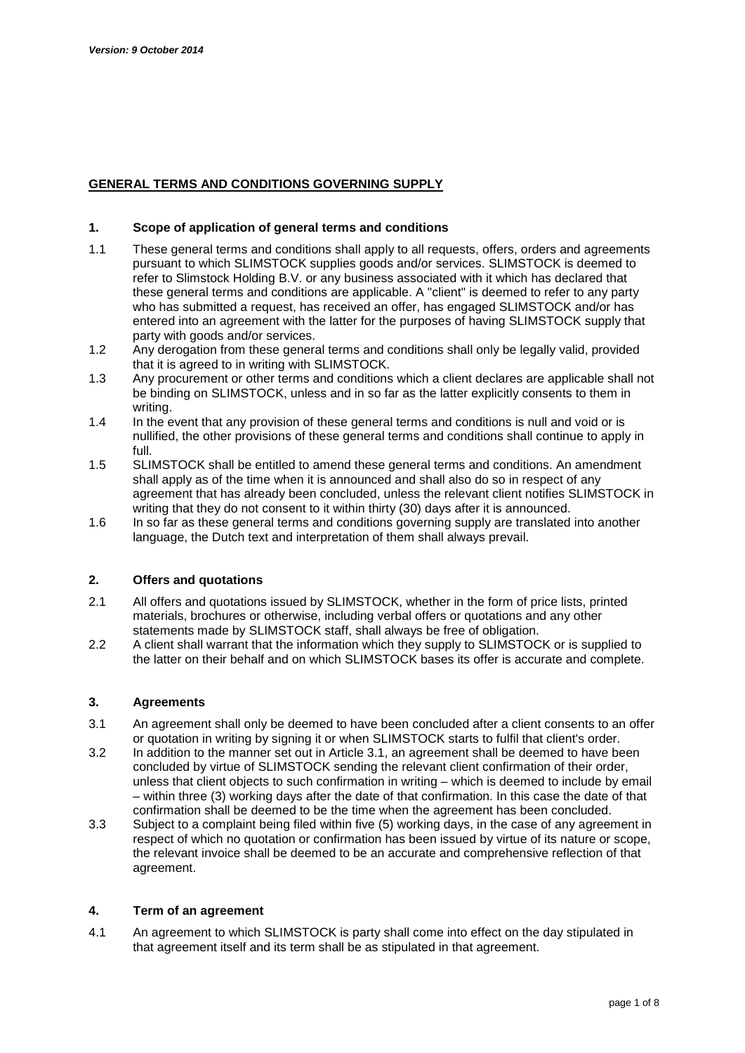## **GENERAL TERMS AND CONDITIONS GOVERNING SUPPLY**

#### **1. Scope of application of general terms and conditions**

- 1.1 These general terms and conditions shall apply to all requests, offers, orders and agreements pursuant to which SLIMSTOCK supplies goods and/or services. SLIMSTOCK is deemed to refer to Slimstock Holding B.V. or any business associated with it which has declared that these general terms and conditions are applicable. A "client" is deemed to refer to any party who has submitted a request, has received an offer, has engaged SLIMSTOCK and/or has entered into an agreement with the latter for the purposes of having SLIMSTOCK supply that party with goods and/or services.
- 1.2 Any derogation from these general terms and conditions shall only be legally valid, provided that it is agreed to in writing with SLIMSTOCK.
- 1.3 Any procurement or other terms and conditions which a client declares are applicable shall not be binding on SLIMSTOCK, unless and in so far as the latter explicitly consents to them in writing.
- 1.4 In the event that any provision of these general terms and conditions is null and void or is nullified, the other provisions of these general terms and conditions shall continue to apply in full.
- 1.5 SLIMSTOCK shall be entitled to amend these general terms and conditions. An amendment shall apply as of the time when it is announced and shall also do so in respect of any agreement that has already been concluded, unless the relevant client notifies SLIMSTOCK in writing that they do not consent to it within thirty (30) days after it is announced.
- 1.6 In so far as these general terms and conditions governing supply are translated into another language, the Dutch text and interpretation of them shall always prevail.

#### **2. Offers and quotations**

- 2.1 All offers and quotations issued by SLIMSTOCK, whether in the form of price lists, printed materials, brochures or otherwise, including verbal offers or quotations and any other statements made by SLIMSTOCK staff, shall always be free of obligation.
- 2.2 A client shall warrant that the information which they supply to SLIMSTOCK or is supplied to the latter on their behalf and on which SLIMSTOCK bases its offer is accurate and complete.

#### **3. Agreements**

- 3.1 An agreement shall only be deemed to have been concluded after a client consents to an offer or quotation in writing by signing it or when SLIMSTOCK starts to fulfil that client's order.
- 3.2 In addition to the manner set out in Article 3.1, an agreement shall be deemed to have been concluded by virtue of SLIMSTOCK sending the relevant client confirmation of their order, unless that client objects to such confirmation in writing – which is deemed to include by email – within three (3) working days after the date of that confirmation. In this case the date of that confirmation shall be deemed to be the time when the agreement has been concluded.
- 3.3 Subject to a complaint being filed within five (5) working days, in the case of any agreement in respect of which no quotation or confirmation has been issued by virtue of its nature or scope, the relevant invoice shall be deemed to be an accurate and comprehensive reflection of that agreement.

# **4. Term of an agreement**

4.1 An agreement to which SLIMSTOCK is party shall come into effect on the day stipulated in that agreement itself and its term shall be as stipulated in that agreement.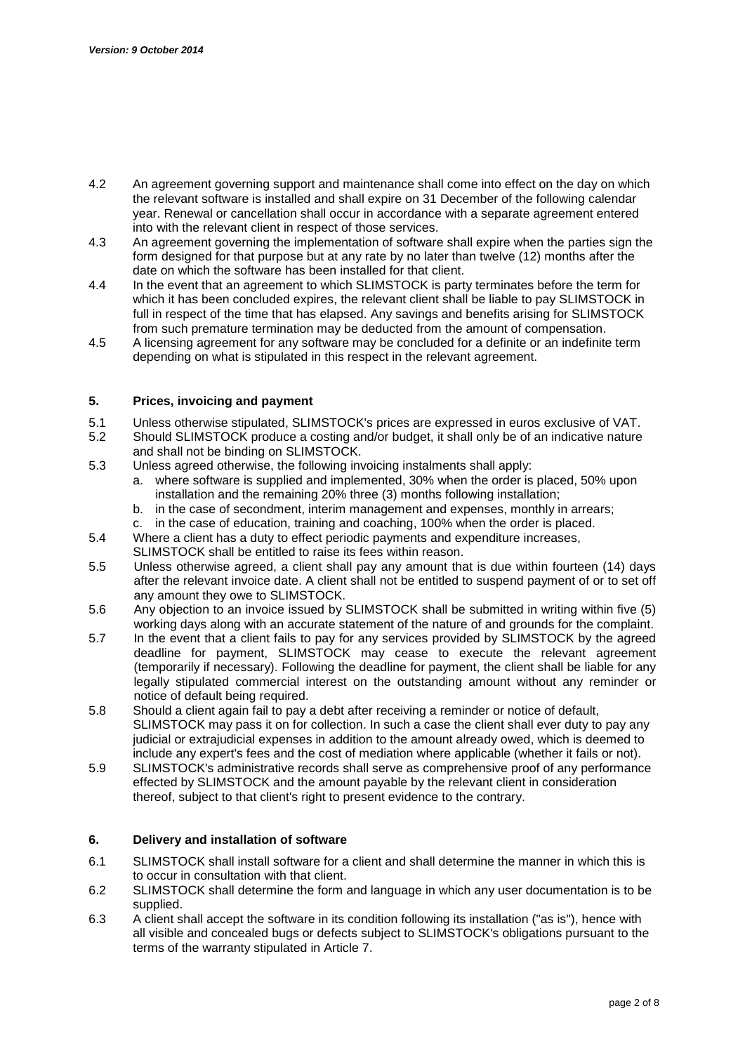- 4.2 An agreement governing support and maintenance shall come into effect on the day on which the relevant software is installed and shall expire on 31 December of the following calendar year. Renewal or cancellation shall occur in accordance with a separate agreement entered into with the relevant client in respect of those services.
- 4.3 An agreement governing the implementation of software shall expire when the parties sign the form designed for that purpose but at any rate by no later than twelve (12) months after the date on which the software has been installed for that client.
- 4.4 In the event that an agreement to which SLIMSTOCK is party terminates before the term for which it has been concluded expires, the relevant client shall be liable to pay SLIMSTOCK in full in respect of the time that has elapsed. Any savings and benefits arising for SLIMSTOCK from such premature termination may be deducted from the amount of compensation.
- 4.5 A licensing agreement for any software may be concluded for a definite or an indefinite term depending on what is stipulated in this respect in the relevant agreement.

## **5. Prices, invoicing and payment**

- 5.1 Unless otherwise stipulated, SLIMSTOCK's prices are expressed in euros exclusive of VAT.
- 5.2 Should SLIMSTOCK produce a costing and/or budget, it shall only be of an indicative nature and shall not be binding on SLIMSTOCK.
- 5.3 Unless agreed otherwise, the following invoicing instalments shall apply:
	- a. where software is supplied and implemented, 30% when the order is placed, 50% upon installation and the remaining 20% three (3) months following installation;
	- b. in the case of secondment, interim management and expenses, monthly in arrears;
	- c. in the case of education, training and coaching, 100% when the order is placed.
- 5.4 Where a client has a duty to effect periodic payments and expenditure increases, SLIMSTOCK shall be entitled to raise its fees within reason.
- 5.5 Unless otherwise agreed, a client shall pay any amount that is due within fourteen (14) days after the relevant invoice date. A client shall not be entitled to suspend payment of or to set off any amount they owe to SLIMSTOCK.
- 5.6 Any objection to an invoice issued by SLIMSTOCK shall be submitted in writing within five (5) working days along with an accurate statement of the nature of and grounds for the complaint.
- 5.7 In the event that a client fails to pay for any services provided by SLIMSTOCK by the agreed deadline for payment, SLIMSTOCK may cease to execute the relevant agreement (temporarily if necessary). Following the deadline for payment, the client shall be liable for any legally stipulated commercial interest on the outstanding amount without any reminder or notice of default being required.
- 5.8 Should a client again fail to pay a debt after receiving a reminder or notice of default, SLIMSTOCK may pass it on for collection. In such a case the client shall ever duty to pay any judicial or extrajudicial expenses in addition to the amount already owed, which is deemed to include any expert's fees and the cost of mediation where applicable (whether it fails or not).
- 5.9 SLIMSTOCK's administrative records shall serve as comprehensive proof of any performance effected by SLIMSTOCK and the amount payable by the relevant client in consideration thereof, subject to that client's right to present evidence to the contrary.

# **6. Delivery and installation of software**

- 6.1 SLIMSTOCK shall install software for a client and shall determine the manner in which this is to occur in consultation with that client.
- 6.2 SLIMSTOCK shall determine the form and language in which any user documentation is to be supplied.
- 6.3 A client shall accept the software in its condition following its installation ("as is"), hence with all visible and concealed bugs or defects subject to SLIMSTOCK's obligations pursuant to the terms of the warranty stipulated in Article 7.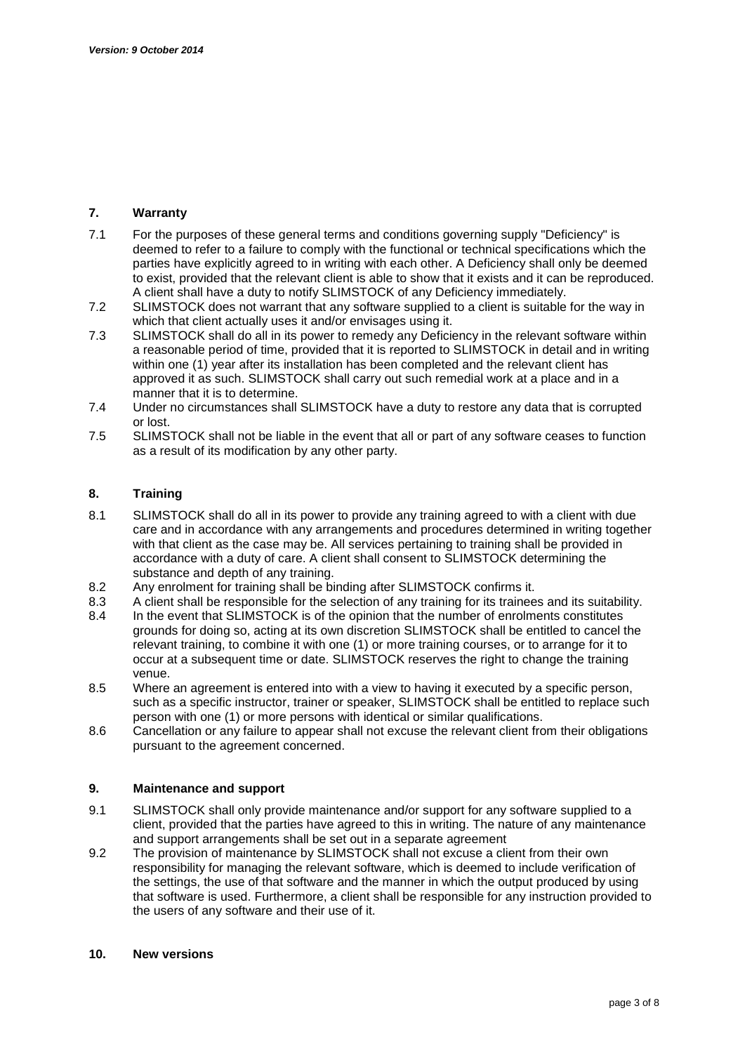# **7. Warranty**

- 7.1 For the purposes of these general terms and conditions governing supply "Deficiency" is deemed to refer to a failure to comply with the functional or technical specifications which the parties have explicitly agreed to in writing with each other. A Deficiency shall only be deemed to exist, provided that the relevant client is able to show that it exists and it can be reproduced. A client shall have a duty to notify SLIMSTOCK of any Deficiency immediately.
- 7.2 SLIMSTOCK does not warrant that any software supplied to a client is suitable for the way in which that client actually uses it and/or envisages using it.
- 7.3 SLIMSTOCK shall do all in its power to remedy any Deficiency in the relevant software within a reasonable period of time, provided that it is reported to SLIMSTOCK in detail and in writing within one (1) year after its installation has been completed and the relevant client has approved it as such. SLIMSTOCK shall carry out such remedial work at a place and in a manner that it is to determine.
- 7.4 Under no circumstances shall SLIMSTOCK have a duty to restore any data that is corrupted or lost.
- 7.5 SLIMSTOCK shall not be liable in the event that all or part of any software ceases to function as a result of its modification by any other party.

# **8. Training**

- 8.1 SLIMSTOCK shall do all in its power to provide any training agreed to with a client with due care and in accordance with any arrangements and procedures determined in writing together with that client as the case may be. All services pertaining to training shall be provided in accordance with a duty of care. A client shall consent to SLIMSTOCK determining the substance and depth of any training.
- 8.2 Any enrolment for training shall be binding after SLIMSTOCK confirms it.<br>8.3 A client shall be responsible for the selection of any training for its trainee
- A client shall be responsible for the selection of any training for its trainees and its suitability.
- 8.4 In the event that SLIMSTOCK is of the opinion that the number of enrolments constitutes grounds for doing so, acting at its own discretion SLIMSTOCK shall be entitled to cancel the relevant training, to combine it with one (1) or more training courses, or to arrange for it to occur at a subsequent time or date. SLIMSTOCK reserves the right to change the training venue.
- 8.5 Where an agreement is entered into with a view to having it executed by a specific person, such as a specific instructor, trainer or speaker, SLIMSTOCK shall be entitled to replace such person with one (1) or more persons with identical or similar qualifications.
- 8.6 Cancellation or any failure to appear shall not excuse the relevant client from their obligations pursuant to the agreement concerned.

#### **9. Maintenance and support**

- 9.1 SLIMSTOCK shall only provide maintenance and/or support for any software supplied to a client, provided that the parties have agreed to this in writing. The nature of any maintenance and support arrangements shall be set out in a separate agreement
- 9.2 The provision of maintenance by SLIMSTOCK shall not excuse a client from their own responsibility for managing the relevant software, which is deemed to include verification of the settings, the use of that software and the manner in which the output produced by using that software is used. Furthermore, a client shall be responsible for any instruction provided to the users of any software and their use of it.

#### **10. New versions**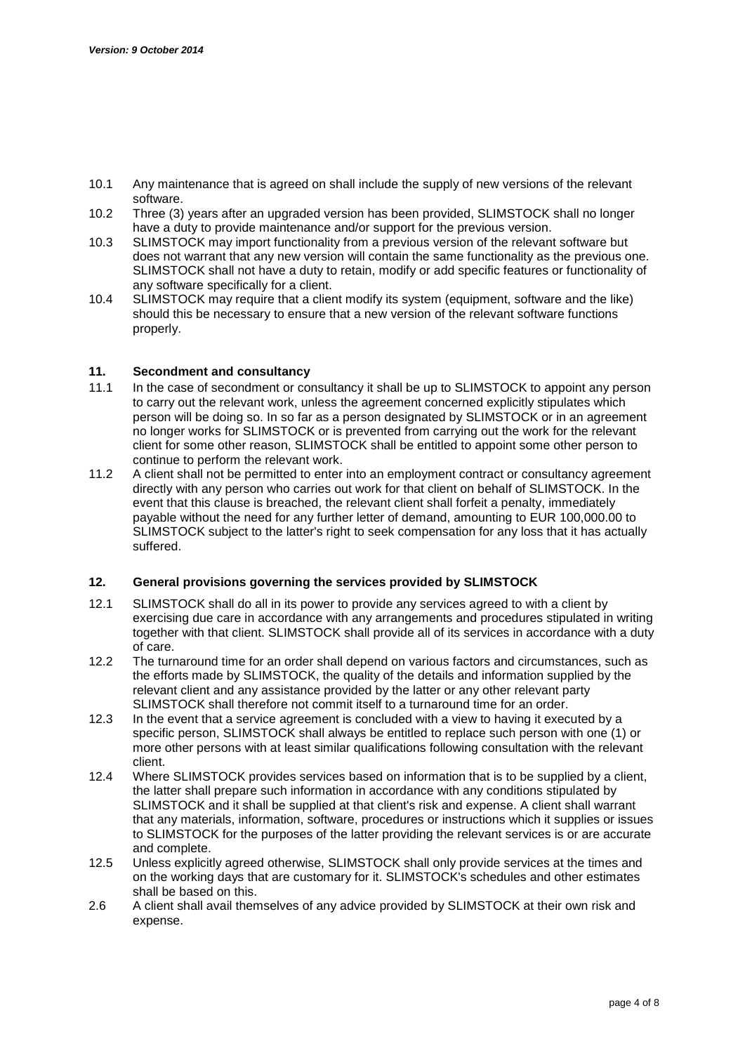- 10.1 Any maintenance that is agreed on shall include the supply of new versions of the relevant software.
- 10.2 Three (3) years after an upgraded version has been provided, SLIMSTOCK shall no longer have a duty to provide maintenance and/or support for the previous version.
- 10.3 SLIMSTOCK may import functionality from a previous version of the relevant software but does not warrant that any new version will contain the same functionality as the previous one. SLIMSTOCK shall not have a duty to retain, modify or add specific features or functionality of any software specifically for a client.
- 10.4 SLIMSTOCK may require that a client modify its system (equipment, software and the like) should this be necessary to ensure that a new version of the relevant software functions properly.

#### **11. Secondment and consultancy**

- 11.1 In the case of secondment or consultancy it shall be up to SLIMSTOCK to appoint any person to carry out the relevant work, unless the agreement concerned explicitly stipulates which person will be doing so. In so far as a person designated by SLIMSTOCK or in an agreement no longer works for SLIMSTOCK or is prevented from carrying out the work for the relevant client for some other reason, SLIMSTOCK shall be entitled to appoint some other person to continue to perform the relevant work.
- 11.2 A client shall not be permitted to enter into an employment contract or consultancy agreement directly with any person who carries out work for that client on behalf of SLIMSTOCK. In the event that this clause is breached, the relevant client shall forfeit a penalty, immediately payable without the need for any further letter of demand, amounting to EUR 100,000.00 to SLIMSTOCK subject to the latter's right to seek compensation for any loss that it has actually suffered.

## **12. General provisions governing the services provided by SLIMSTOCK**

- 12.1 SLIMSTOCK shall do all in its power to provide any services agreed to with a client by exercising due care in accordance with any arrangements and procedures stipulated in writing together with that client. SLIMSTOCK shall provide all of its services in accordance with a duty of care.
- 12.2 The turnaround time for an order shall depend on various factors and circumstances, such as the efforts made by SLIMSTOCK, the quality of the details and information supplied by the relevant client and any assistance provided by the latter or any other relevant party SLIMSTOCK shall therefore not commit itself to a turnaround time for an order.
- 12.3 In the event that a service agreement is concluded with a view to having it executed by a specific person, SLIMSTOCK shall always be entitled to replace such person with one (1) or more other persons with at least similar qualifications following consultation with the relevant client.
- 12.4 Where SLIMSTOCK provides services based on information that is to be supplied by a client, the latter shall prepare such information in accordance with any conditions stipulated by SLIMSTOCK and it shall be supplied at that client's risk and expense. A client shall warrant that any materials, information, software, procedures or instructions which it supplies or issues to SLIMSTOCK for the purposes of the latter providing the relevant services is or are accurate and complete.
- 12.5 Unless explicitly agreed otherwise, SLIMSTOCK shall only provide services at the times and on the working days that are customary for it. SLIMSTOCK's schedules and other estimates shall be based on this.
- 2.6 A client shall avail themselves of any advice provided by SLIMSTOCK at their own risk and expense.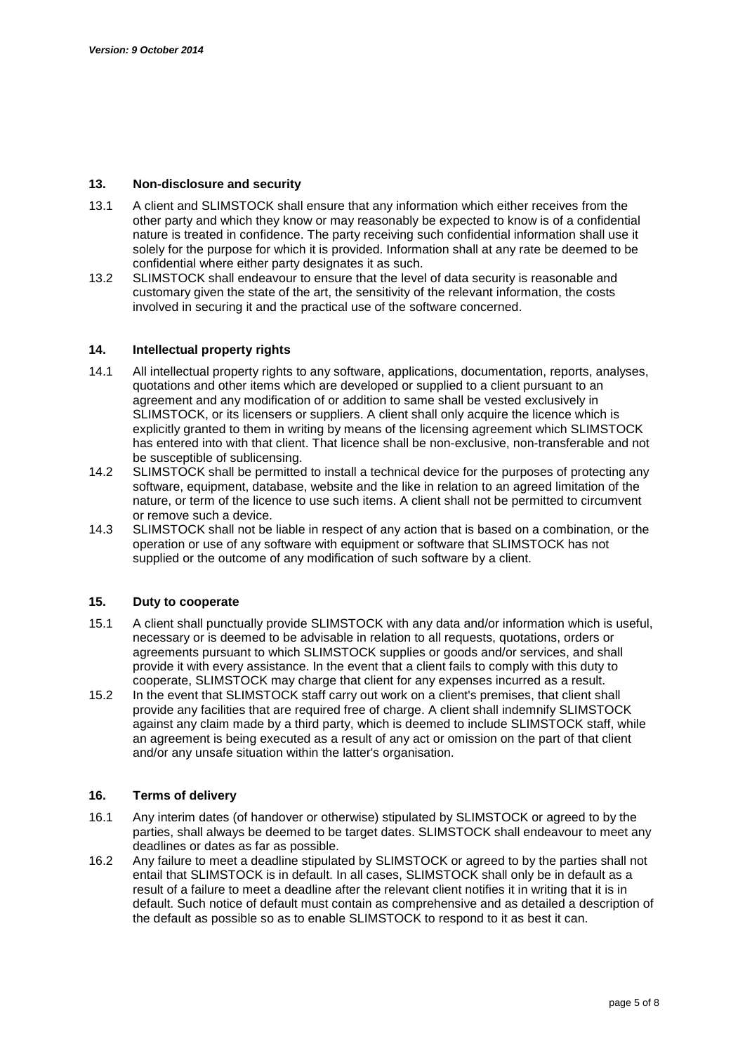#### **13. Non-disclosure and security**

- 13.1 A client and SLIMSTOCK shall ensure that any information which either receives from the other party and which they know or may reasonably be expected to know is of a confidential nature is treated in confidence. The party receiving such confidential information shall use it solely for the purpose for which it is provided. Information shall at any rate be deemed to be confidential where either party designates it as such.
- 13.2 SLIMSTOCK shall endeavour to ensure that the level of data security is reasonable and customary given the state of the art, the sensitivity of the relevant information, the costs involved in securing it and the practical use of the software concerned.

## **14. Intellectual property rights**

- 14.1 All intellectual property rights to any software, applications, documentation, reports, analyses, quotations and other items which are developed or supplied to a client pursuant to an agreement and any modification of or addition to same shall be vested exclusively in SLIMSTOCK, or its licensers or suppliers. A client shall only acquire the licence which is explicitly granted to them in writing by means of the licensing agreement which SLIMSTOCK has entered into with that client. That licence shall be non-exclusive, non-transferable and not be susceptible of sublicensing.
- 14.2 SLIMSTOCK shall be permitted to install a technical device for the purposes of protecting any software, equipment, database, website and the like in relation to an agreed limitation of the nature, or term of the licence to use such items. A client shall not be permitted to circumvent or remove such a device.
- 14.3 SLIMSTOCK shall not be liable in respect of any action that is based on a combination, or the operation or use of any software with equipment or software that SLIMSTOCK has not supplied or the outcome of any modification of such software by a client.

#### **15. Duty to cooperate**

- 15.1 A client shall punctually provide SLIMSTOCK with any data and/or information which is useful, necessary or is deemed to be advisable in relation to all requests, quotations, orders or agreements pursuant to which SLIMSTOCK supplies or goods and/or services, and shall provide it with every assistance. In the event that a client fails to comply with this duty to cooperate, SLIMSTOCK may charge that client for any expenses incurred as a result.
- 15.2 In the event that SLIMSTOCK staff carry out work on a client's premises, that client shall provide any facilities that are required free of charge. A client shall indemnify SLIMSTOCK against any claim made by a third party, which is deemed to include SLIMSTOCK staff, while an agreement is being executed as a result of any act or omission on the part of that client and/or any unsafe situation within the latter's organisation.

#### **16. Terms of delivery**

- 16.1 Any interim dates (of handover or otherwise) stipulated by SLIMSTOCK or agreed to by the parties, shall always be deemed to be target dates. SLIMSTOCK shall endeavour to meet any deadlines or dates as far as possible.
- 16.2 Any failure to meet a deadline stipulated by SLIMSTOCK or agreed to by the parties shall not entail that SLIMSTOCK is in default. In all cases, SLIMSTOCK shall only be in default as a result of a failure to meet a deadline after the relevant client notifies it in writing that it is in default. Such notice of default must contain as comprehensive and as detailed a description of the default as possible so as to enable SLIMSTOCK to respond to it as best it can.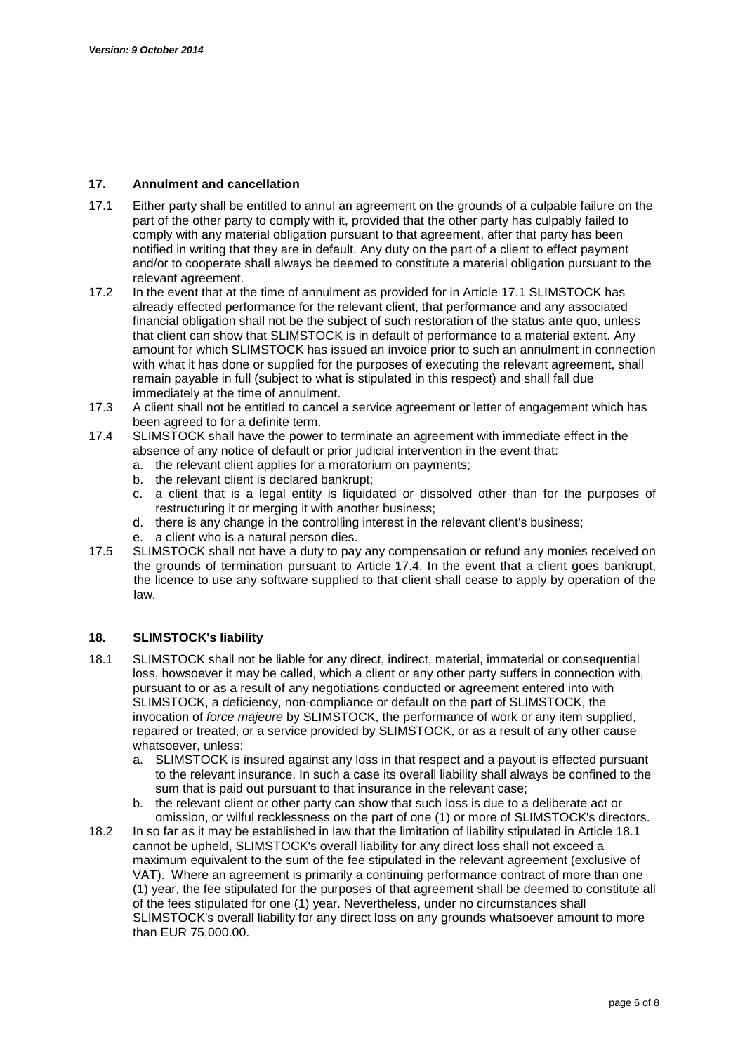# **17. Annulment and cancellation**

- 17.1 Either party shall be entitled to annul an agreement on the grounds of a culpable failure on the part of the other party to comply with it, provided that the other party has culpably failed to comply with any material obligation pursuant to that agreement, after that party has been notified in writing that they are in default. Any duty on the part of a client to effect payment and/or to cooperate shall always be deemed to constitute a material obligation pursuant to the relevant agreement.
- 17.2 In the event that at the time of annulment as provided for in Article 17.1 SLIMSTOCK has already effected performance for the relevant client, that performance and any associated financial obligation shall not be the subject of such restoration of the status ante quo, unless that client can show that SLIMSTOCK is in default of performance to a material extent. Any amount for which SLIMSTOCK has issued an invoice prior to such an annulment in connection with what it has done or supplied for the purposes of executing the relevant agreement, shall remain payable in full (subject to what is stipulated in this respect) and shall fall due immediately at the time of annulment.
- 17.3 A client shall not be entitled to cancel a service agreement or letter of engagement which has been agreed to for a definite term.
- 17.4 SLIMSTOCK shall have the power to terminate an agreement with immediate effect in the absence of any notice of default or prior judicial intervention in the event that:
	- a. the relevant client applies for a moratorium on payments;
	- b. the relevant client is declared bankrupt;
	- c. a client that is a legal entity is liquidated or dissolved other than for the purposes of restructuring it or merging it with another business;
	- d. there is any change in the controlling interest in the relevant client's business;
	- e. a client who is a natural person dies.
- 17.5 SLIMSTOCK shall not have a duty to pay any compensation or refund any monies received on the grounds of termination pursuant to Article 17.4. In the event that a client goes bankrupt, the licence to use any software supplied to that client shall cease to apply by operation of the law.

#### **18. SLIMSTOCK's liability**

- 18.1 SLIMSTOCK shall not be liable for any direct, indirect, material, immaterial or consequential loss, howsoever it may be called, which a client or any other party suffers in connection with, pursuant to or as a result of any negotiations conducted or agreement entered into with SLIMSTOCK, a deficiency, non-compliance or default on the part of SLIMSTOCK, the invocation of *force majeure* by SLIMSTOCK, the performance of work or any item supplied, repaired or treated, or a service provided by SLIMSTOCK, or as a result of any other cause whatsoever, unless:
	- a. SLIMSTOCK is insured against any loss in that respect and a payout is effected pursuant to the relevant insurance. In such a case its overall liability shall always be confined to the sum that is paid out pursuant to that insurance in the relevant case;
	- b. the relevant client or other party can show that such loss is due to a deliberate act or omission, or wilful recklessness on the part of one (1) or more of SLIMSTOCK's directors.
- 18.2 In so far as it may be established in law that the limitation of liability stipulated in Article 18.1 cannot be upheld, SLIMSTOCK's overall liability for any direct loss shall not exceed a maximum equivalent to the sum of the fee stipulated in the relevant agreement (exclusive of VAT). Where an agreement is primarily a continuing performance contract of more than one (1) year, the fee stipulated for the purposes of that agreement shall be deemed to constitute all of the fees stipulated for one (1) year. Nevertheless, under no circumstances shall SLIMSTOCK's overall liability for any direct loss on any grounds whatsoever amount to more than EUR 75,000.00.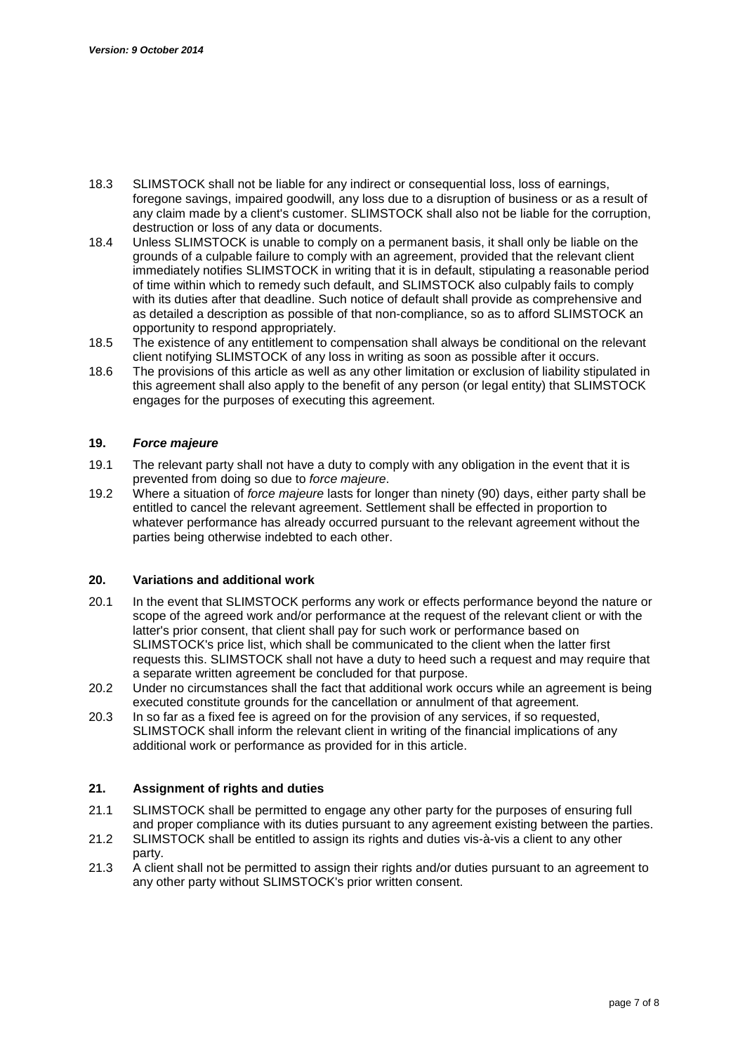- 18.3 SLIMSTOCK shall not be liable for any indirect or consequential loss, loss of earnings, foregone savings, impaired goodwill, any loss due to a disruption of business or as a result of any claim made by a client's customer. SLIMSTOCK shall also not be liable for the corruption, destruction or loss of any data or documents.
- 18.4 Unless SLIMSTOCK is unable to comply on a permanent basis, it shall only be liable on the grounds of a culpable failure to comply with an agreement, provided that the relevant client immediately notifies SLIMSTOCK in writing that it is in default, stipulating a reasonable period of time within which to remedy such default, and SLIMSTOCK also culpably fails to comply with its duties after that deadline. Such notice of default shall provide as comprehensive and as detailed a description as possible of that non-compliance, so as to afford SLIMSTOCK an opportunity to respond appropriately.
- 18.5 The existence of any entitlement to compensation shall always be conditional on the relevant client notifying SLIMSTOCK of any loss in writing as soon as possible after it occurs.
- 18.6 The provisions of this article as well as any other limitation or exclusion of liability stipulated in this agreement shall also apply to the benefit of any person (or legal entity) that SLIMSTOCK engages for the purposes of executing this agreement.

#### **19.** *Force majeure*

- 19.1 The relevant party shall not have a duty to comply with any obligation in the event that it is prevented from doing so due to *force majeure*.
- 19.2 Where a situation of *force majeure* lasts for longer than ninety (90) days, either party shall be entitled to cancel the relevant agreement. Settlement shall be effected in proportion to whatever performance has already occurred pursuant to the relevant agreement without the parties being otherwise indebted to each other.

#### **20. Variations and additional work**

- 20.1 In the event that SLIMSTOCK performs any work or effects performance beyond the nature or scope of the agreed work and/or performance at the request of the relevant client or with the latter's prior consent, that client shall pay for such work or performance based on SLIMSTOCK's price list, which shall be communicated to the client when the latter first requests this. SLIMSTOCK shall not have a duty to heed such a request and may require that a separate written agreement be concluded for that purpose.
- 20.2 Under no circumstances shall the fact that additional work occurs while an agreement is being executed constitute grounds for the cancellation or annulment of that agreement.
- 20.3 In so far as a fixed fee is agreed on for the provision of any services, if so requested, SLIMSTOCK shall inform the relevant client in writing of the financial implications of any additional work or performance as provided for in this article.

# **21. Assignment of rights and duties**

- 21.1 SLIMSTOCK shall be permitted to engage any other party for the purposes of ensuring full and proper compliance with its duties pursuant to any agreement existing between the parties.
- 21.2 SLIMSTOCK shall be entitled to assign its rights and duties vis-à-vis a client to any other party.
- 21.3 A client shall not be permitted to assign their rights and/or duties pursuant to an agreement to any other party without SLIMSTOCK's prior written consent.